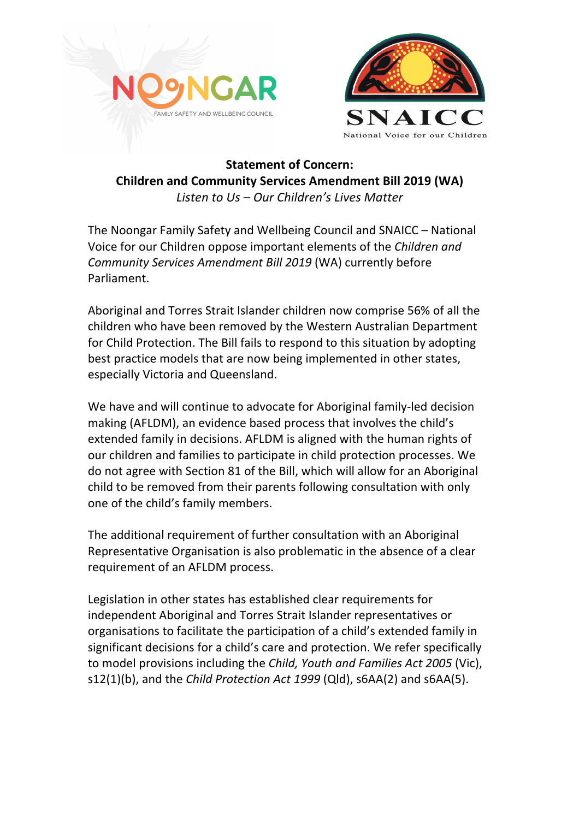



## **Statement of Concern: Children and Community Services Amendment Bill 2019 (WA)** Listen to Us – Our Children's Lives Matter

The Noongar Family Safety and Wellbeing Council and SNAICC – National Voice for our Children oppose important elements of the *Children and Community Services Amendment Bill 2019* (WA) currently before Parliament. 

Aboriginal and Torres Strait Islander children now comprise 56% of all the children who have been removed by the Western Australian Department for Child Protection. The Bill fails to respond to this situation by adopting best practice models that are now being implemented in other states, especially Victoria and Queensland.

We have and will continue to advocate for Aboriginal family-led decision making (AFLDM), an evidence based process that involves the child's extended family in decisions. AFLDM is aligned with the human rights of our children and families to participate in child protection processes. We do not agree with Section 81 of the Bill, which will allow for an Aboriginal child to be removed from their parents following consultation with only one of the child's family members.

The additional requirement of further consultation with an Aboriginal Representative Organisation is also problematic in the absence of a clear requirement of an AFLDM process.

Legislation in other states has established clear requirements for independent Aboriginal and Torres Strait Islander representatives or organisations to facilitate the participation of a child's extended family in significant decisions for a child's care and protection. We refer specifically to model provisions including the *Child, Youth and Families Act 2005* (Vic), s12(1)(b), and the *Child Protection Act 1999* (Qld), s6AA(2) and s6AA(5).